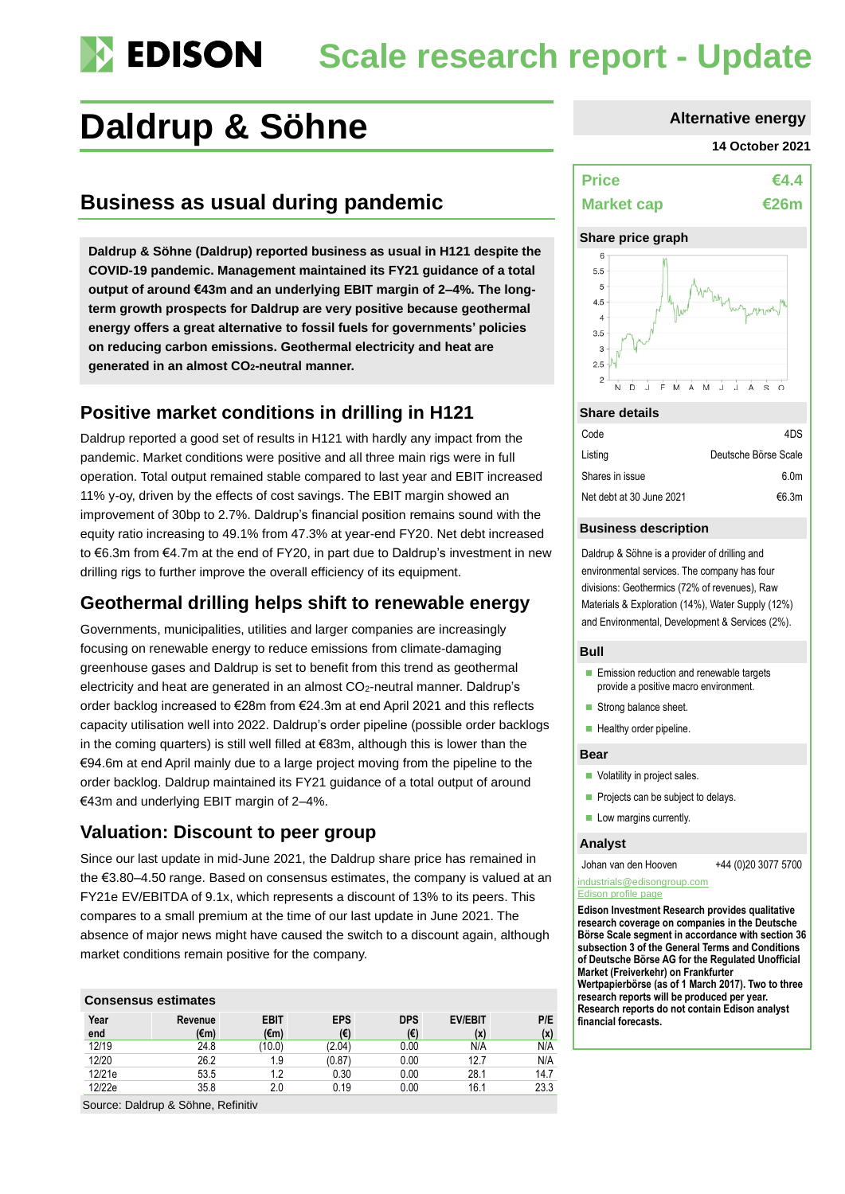# **Scale research report - Update**

## **Daldrup & Söhne Alternative energy**

## **Business as usual during pandemic**

**Daldrup & Söhne (Daldrup) reported business as usual in H121 despite the COVID-19 pandemic. Management maintained its FY21 guidance of a total output of around €43m and an underlying EBIT margin of 2–4%. The longterm growth prospects for Daldrup are very positive because geothermal energy offers a great alternative to fossil fuels for governments' policies on reducing carbon emissions. Geothermal electricity and heat are generated in an almost CO2-neutral manner.** 

## **Positive market conditions in drilling in H121**

Daldrup reported a good set of results in H121 with hardly any impact from the pandemic. Market conditions were positive and all three main rigs were in full operation. Total output remained stable compared to last year and EBIT increased 11% y-oy, driven by the effects of cost savings. The EBIT margin showed an improvement of 30bp to 2.7%. Daldrup's financial position remains sound with the equity ratio increasing to 49.1% from 47.3% at year-end FY20. Net debt increased to €6.3m from €4.7m at the end of FY20, in part due to Daldrup's investment in new drilling rigs to further improve the overall efficiency of its equipment.

## **Geothermal drilling helps shift to renewable energy**

Governments, municipalities, utilities and larger companies are increasingly focusing on renewable energy to reduce emissions from climate-damaging greenhouse gases and Daldrup is set to benefit from this trend as geothermal electricity and heat are generated in an almost CO<sub>2</sub>-neutral manner. Daldrup's order backlog increased to €28m from €24.3m at end April 2021 and this reflects capacity utilisation well into 2022. Daldrup's order pipeline (possible order backlogs in the coming quarters) is still well filled at €83m, although this is lower than the €94.6m at end April mainly due to a large project moving from the pipeline to the order backlog. Daldrup maintained its FY21 guidance of a total output of around €43m and underlying EBIT margin of 2–4%.

### **Valuation: Discount to peer group**

Since our last update in mid-June 2021, the Daldrup share price has remained in the €3.80–4.50 range. Based on consensus estimates, the company is valued at an FY21e EV/EBITDA of 9.1x, which represents a discount of 13% to its peers. This compares to a small premium at the time of our last update in June 2021. The absence of major news might have caused the switch to a discount again, although market conditions remain positive for the company.

### **Consensus estimates**

| Year<br>end | Revenue<br>(€m) | <b>EBIT</b><br>(€m) | <b>EPS</b><br>(€) | <b>DPS</b><br>(€) | <b>EV/EBIT</b><br>(x) | P/E<br>(x) |
|-------------|-----------------|---------------------|-------------------|-------------------|-----------------------|------------|
| 12/19       | 24.8            | (10.0)              | (2.04)            | 0.00              | N/A                   | N/A        |
| 12/20       | 26.2            | 1.9                 | (0.87)            | 0.00              | 12.7                  | N/A        |
| 12/21e      | 53.5            | 1.2                 | 0.30              | 0.00              | 28.1                  | 14.7       |
| 12/22e      | 35.8            | 2.0                 | 0.19              | 0.00              | 16.1                  | 23.3       |

Source: Daldrup & Söhne, Refinitiv

#### **14 October 2021**

## **Price €4.4 Market cap €26m**

#### **Share price graph** 6



#### **Share details**

| Code                     | 4DS                  |
|--------------------------|----------------------|
| Listing                  | Deutsche Börse Scale |
| Shares in issue          | 6.0 <sub>m</sub>     |
| Net debt at 30 June 2021 | €6.3m                |

#### **Business description**

Daldrup & Söhne is a provider of drilling and environmental services. The company has four divisions: Geothermics (72% of revenues), Raw Materials & Exploration (14%), Water Supply (12%) and Environmental, Development & Services (2%).

#### **Bull**

- Emission reduction and renewable targets provide a positive macro environment.
- Strong balance sheet.
- Healthy order pipeline.

#### **Bear**

- Volatility in project sales.
- Projects can be subject to delays.
- Low margins currently.

#### **Analyst**

Johan van den Hooven +44 (0)20 3077 5700

#### [industrials@edisongroup.com](mailto:industrials@edisongroup.com) [Edison profile page](https://www.edisongroup.com/company/daldrup-soehne/2591/)

**Edison Investment Research provides qualitative research coverage on companies in the Deutsche Börse Scale segment in accordance with section 36 subsection 3 of the General Terms and Conditions of Deutsche Börse AG for the Regulated Unofficial Market (Freiverkehr) on Frankfurter Wertpapierbörse (as of 1 March 2017). Two to three research reports will be produced per year. Research reports do not contain Edison analyst financial forecasts.**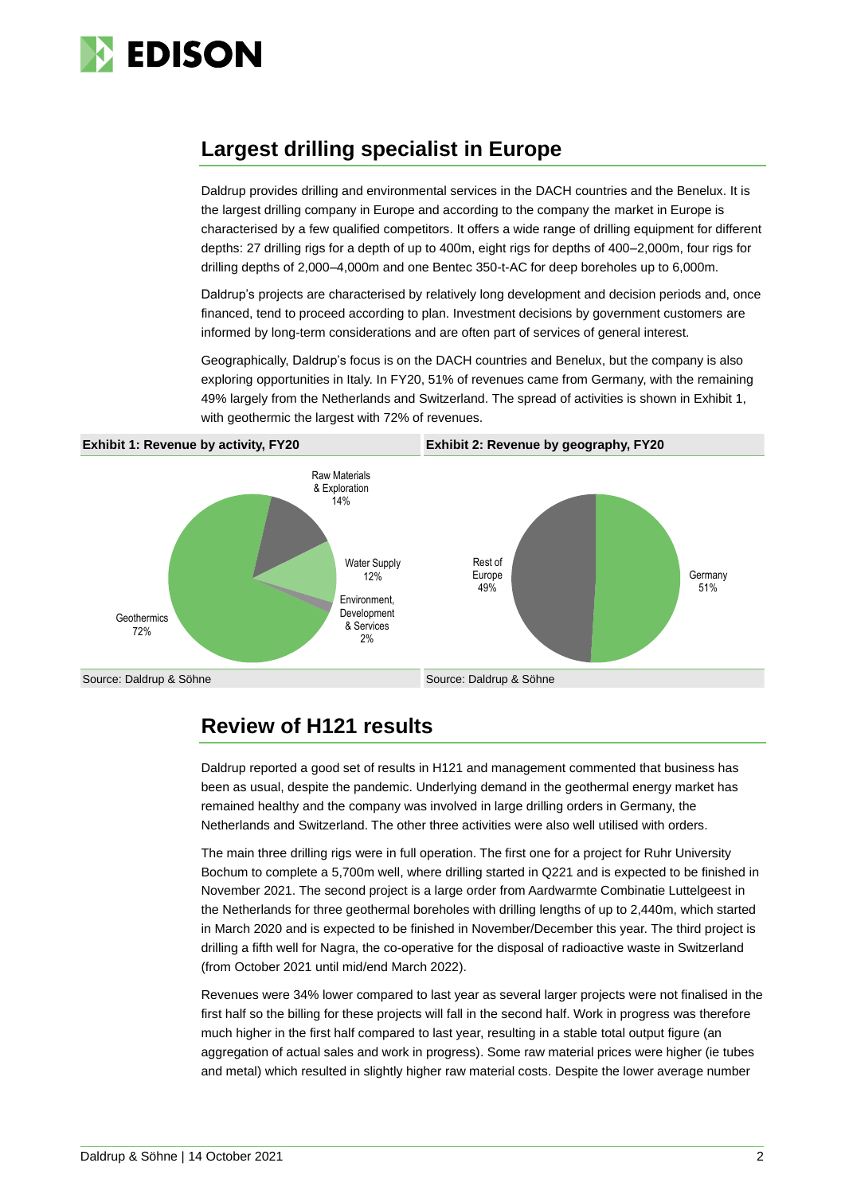

## **Largest drilling specialist in Europe**

Daldrup provides drilling and environmental services in the DACH countries and the Benelux. It is the largest drilling company in Europe and according to the company the market in Europe is characterised by a few qualified competitors. It offers a wide range of drilling equipment for different depths: 27 drilling rigs for a depth of up to 400m, eight rigs for depths of 400–2,000m, four rigs for drilling depths of 2,000–4,000m and one Bentec 350-t-AC for deep boreholes up to 6,000m.

Daldrup's projects are characterised by relatively long development and decision periods and, once financed, tend to proceed according to plan. Investment decisions by government customers are informed by long-term considerations and are often part of services of general interest.

Geographically, Daldrup's focus is on the DACH countries and Benelux, but the company is also exploring opportunities in Italy. In FY20, 51% of revenues came from Germany, with the remaining 49% largely from the Netherlands and Switzerland. The spread of activities is shown in Exhibit 1, with geothermic the largest with 72% of revenues.



## **Review of H121 results**

Daldrup reported a good set of results in H121 and management commented that business has been as usual, despite the pandemic. Underlying demand in the geothermal energy market has remained healthy and the company was involved in large drilling orders in Germany, the Netherlands and Switzerland. The other three activities were also well utilised with orders.

The main three drilling rigs were in full operation. The first one for a project for Ruhr University Bochum to complete a 5,700m well, where drilling started in Q221 and is expected to be finished in November 2021. The second project is a large order from Aardwarmte Combinatie Luttelgeest in the Netherlands for three geothermal boreholes with drilling lengths of up to 2,440m, which started in March 2020 and is expected to be finished in November/December this year. The third project is drilling a fifth well for Nagra, the co-operative for the disposal of radioactive waste in Switzerland (from October 2021 until mid/end March 2022).

Revenues were 34% lower compared to last year as several larger projects were not finalised in the first half so the billing for these projects will fall in the second half. Work in progress was therefore much higher in the first half compared to last year, resulting in a stable total output figure (an aggregation of actual sales and work in progress). Some raw material prices were higher (ie tubes and metal) which resulted in slightly higher raw material costs. Despite the lower average number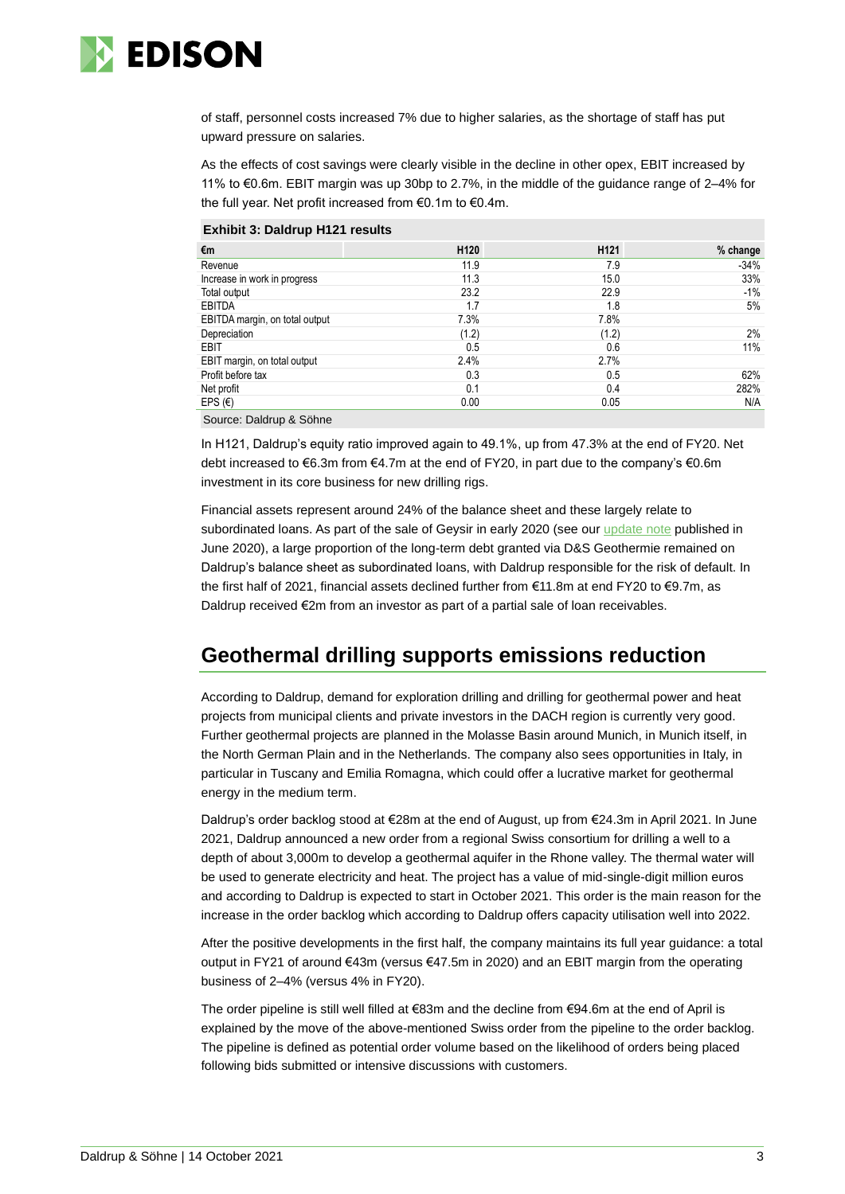

of staff, personnel costs increased 7% due to higher salaries, as the shortage of staff has put upward pressure on salaries.

As the effects of cost savings were clearly visible in the decline in other opex, EBIT increased by 11% to €0.6m. EBIT margin was up 30bp to 2.7%, in the middle of the guidance range of 2–4% for the full year. Net profit increased from €0.1m to €0.4m.

|  | <b>Exhibit 3: Daldrup H121 results</b> |  |
|--|----------------------------------------|--|
|  |                                        |  |

| €m                             | H <sub>120</sub> | H <sub>121</sub> | % change |
|--------------------------------|------------------|------------------|----------|
| Revenue                        | 11.9             | 7.9              | $-34%$   |
| Increase in work in progress   | 11.3             | 15.0             | 33%      |
| Total output                   | 23.2             | 22.9             | $-1\%$   |
| <b>EBITDA</b>                  | 1.7              | 1.8              | 5%       |
| EBITDA margin, on total output | 7.3%             | 7.8%             |          |
| Depreciation                   | (1.2)            | (1.2)            | 2%       |
| EBIT                           | 0.5              | 0.6              | 11%      |
| EBIT margin, on total output   | 2.4%             | 2.7%             |          |
| Profit before tax              | 0.3              | 0.5              | 62%      |
| Net profit                     | 0.1              | 0.4              | 282%     |
| EPS $(\epsilon)$               | 0.00             | 0.05             | N/A      |
|                                |                  |                  |          |

Source: Daldrup & Söhne

In H121, Daldrup's equity ratio improved again to 49.1%, up from 47.3% at the end of FY20. Net debt increased to €6.3m from €4.7m at the end of FY20, in part due to the company's €0.6m investment in its core business for new drilling rigs.

Financial assets represent around 24% of the balance sheet and these largely relate to subordinated loans. As part of the sale of Geysir in early 2020 (see our [update note](https://www.edisongroup.com/publication/new-business-focus-should-benefit-fy20/27045/) published in June 2020), a large proportion of the long-term debt granted via D&S Geothermie remained on Daldrup's balance sheet as subordinated loans, with Daldrup responsible for the risk of default. In the first half of 2021, financial assets declined further from €11.8m at end FY20 to €9.7m, as Daldrup received €2m from an investor as part of a partial sale of loan receivables.

## **Geothermal drilling supports emissions reduction**

According to Daldrup, demand for exploration drilling and drilling for geothermal power and heat projects from municipal clients and private investors in the DACH region is currently very good. Further geothermal projects are planned in the Molasse Basin around Munich, in Munich itself, in the North German Plain and in the Netherlands. The company also sees opportunities in Italy, in particular in Tuscany and Emilia Romagna, which could offer a lucrative market for geothermal energy in the medium term.

Daldrup's order backlog stood at €28m at the end of August, up from €24.3m in April 2021. In June 2021, Daldrup announced a new order from a regional Swiss consortium for drilling a well to a depth of about 3,000m to develop a geothermal aquifer in the Rhone valley. The thermal water will be used to generate electricity and heat. The project has a value of mid-single-digit million euros and according to Daldrup is expected to start in October 2021. This order is the main reason for the increase in the order backlog which according to Daldrup offers capacity utilisation well into 2022.

After the positive developments in the first half, the company maintains its full year guidance: a total output in FY21 of around €43m (versus €47.5m in 2020) and an EBIT margin from the operating business of 2–4% (versus 4% in FY20).

The order pipeline is still well filled at €83m and the decline from €94.6m at the end of April is explained by the move of the above-mentioned Swiss order from the pipeline to the order backlog. The pipeline is defined as potential order volume based on the likelihood of orders being placed following bids submitted or intensive discussions with customers.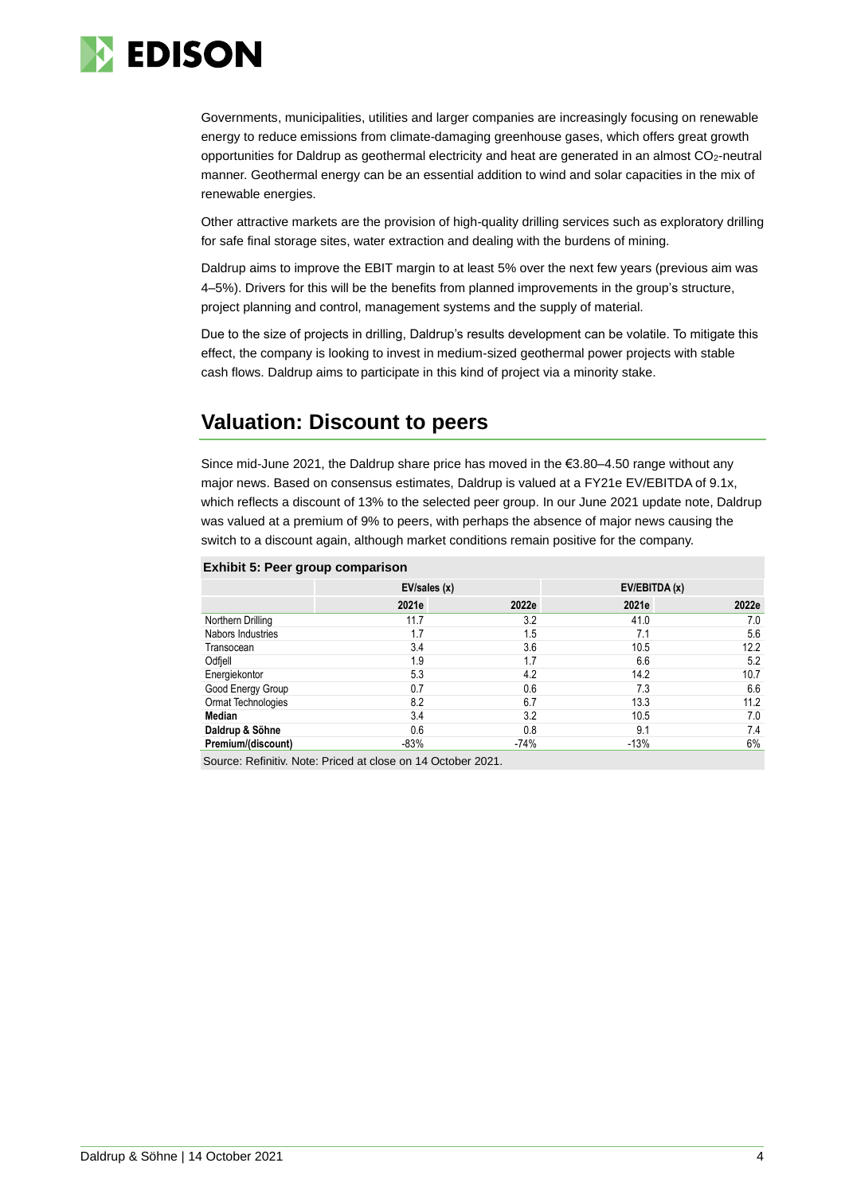

Governments, municipalities, utilities and larger companies are increasingly focusing on renewable energy to reduce emissions from climate-damaging greenhouse gases, which offers great growth opportunities for Daldrup as geothermal electricity and heat are generated in an almost CO<sub>2</sub>-neutral manner. Geothermal energy can be an essential addition to wind and solar capacities in the mix of renewable energies.

Other attractive markets are the provision of high-quality drilling services such as exploratory drilling for safe final storage sites, water extraction and dealing with the burdens of mining.

Daldrup aims to improve the EBIT margin to at least 5% over the next few years (previous aim was 4–5%). Drivers for this will be the benefits from planned improvements in the group's structure, project planning and control, management systems and the supply of material.

Due to the size of projects in drilling, Daldrup's results development can be volatile. To mitigate this effect, the company is looking to invest in medium-sized geothermal power projects with stable cash flows. Daldrup aims to participate in this kind of project via a minority stake.

## **Valuation: Discount to peers**

Since mid-June 2021, the Daldrup share price has moved in the  $\epsilon$ 3.80–4.50 range without any major news. Based on consensus estimates, Daldrup is valued at a FY21e EV/EBITDA of 9.1x, which reflects a discount of 13% to the selected peer group. In our June 2021 update note, Daldrup was valued at a premium of 9% to peers, with perhaps the absence of major news causing the switch to a discount again, although market conditions remain positive for the company.

#### **Exhibit 5: Peer group comparison**

|                    | EV/sales (x) |        | EV/EBITDA (x) |       |
|--------------------|--------------|--------|---------------|-------|
|                    | 2021e        | 2022e  | 2021e         | 2022e |
| Northern Drilling  | 11.7         | 3.2    | 41.0          | 7.0   |
| Nabors Industries  | 1.7          | 1.5    | 7.1           | 5.6   |
| Transocean         | 3.4          | 3.6    | 10.5          | 12.2  |
| Odfiell            | 1.9          | 1.7    | 6.6           | 5.2   |
| Energiekontor      | 5.3          | 4.2    | 14.2          | 10.7  |
| Good Energy Group  | 0.7          | 0.6    | 7.3           | 6.6   |
| Ormat Technologies | 8.2          | 6.7    | 13.3          | 11.2  |
| Median             | 3.4          | 3.2    | 10.5          | 7.0   |
| Daldrup & Söhne    | 0.6          | 0.8    | 9.1           | 7.4   |
| Premium/(discount) | $-83%$       | $-74%$ | $-13%$        | 6%    |

Source: Refinitiv. Note: Priced at close on 14 October 2021.